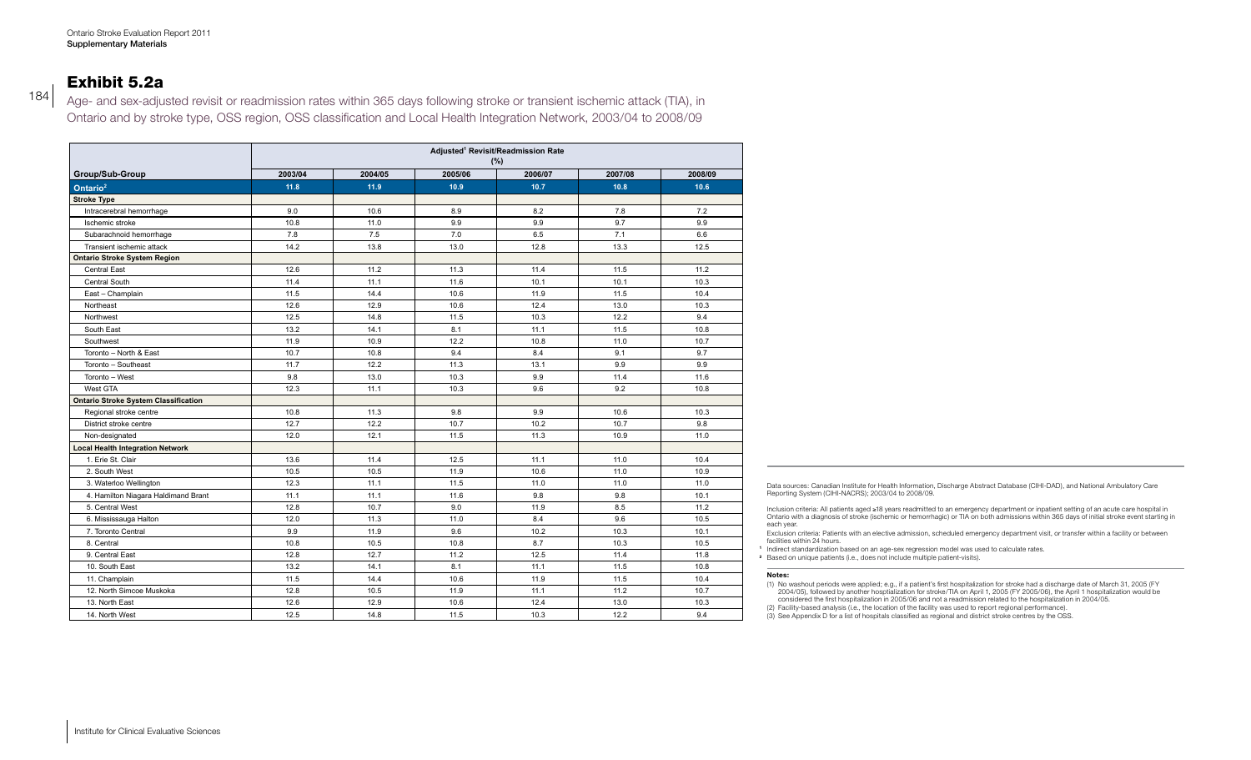### Exhibit 5.2a

184

Age- and sex-adjusted revisit or readmission rates within 365 days following stroke or transient ischemic attack (TIA), in Ontario and by stroke type, OSS region, OSS classification and Local Health Integration Network, 2003/04 to 2008/09

|                                             | Adjusted <sup>1</sup> Revisit/Readmission Rate<br>$(\% )$ |         |         |         |         |         |  |  |
|---------------------------------------------|-----------------------------------------------------------|---------|---------|---------|---------|---------|--|--|
| Group/Sub-Group                             | 2003/04                                                   | 2004/05 | 2005/06 | 2006/07 | 2007/08 | 2008/09 |  |  |
| Ontario <sup>2</sup>                        | 11.8                                                      | 11.9    | 10.9    | 10.7    | 10.8    | 10.6    |  |  |
| <b>Stroke Type</b>                          |                                                           |         |         |         |         |         |  |  |
| Intracerebral hemorrhage                    | 9.0                                                       | 10.6    | 8.9     | 8.2     | 7.8     | 7.2     |  |  |
| Ischemic stroke                             | 10.8                                                      | 11.0    | 9.9     | 9.9     | 9.7     | 9.9     |  |  |
| Subarachnoid hemorrhage                     | 7.8                                                       | 7.5     | 7.0     | 6.5     | 7.1     | 6.6     |  |  |
| Transient ischemic attack                   | 14.2                                                      | 13.8    | 13.0    | 12.8    | 13.3    | 12.5    |  |  |
| <b>Ontario Stroke System Region</b>         |                                                           |         |         |         |         |         |  |  |
| Central East                                | 12.6                                                      | 11.2    | 11.3    | 11.4    | 11.5    | 11.2    |  |  |
| Central South                               | 11.4                                                      | 11.1    | 11.6    | 10.1    | 10.1    | 10.3    |  |  |
| East - Champlain                            | 11.5                                                      | 14.4    | 10.6    | 11.9    | 11.5    | 10.4    |  |  |
| Northeast                                   | 12.6                                                      | 12.9    | 10.6    | 12.4    | 13.0    | 10.3    |  |  |
| Northwest                                   | 12.5                                                      | 14.8    | 11.5    | 10.3    | 12.2    | 9.4     |  |  |
| South East                                  | 13.2                                                      | 14.1    | 8.1     | 11.1    | 11.5    | 10.8    |  |  |
| Southwest                                   | 11.9                                                      | 10.9    | 12.2    | 10.8    | 11.0    | 10.7    |  |  |
| Toronto - North & East                      | 10.7                                                      | 10.8    | 9.4     | 8.4     | 9.1     | 9.7     |  |  |
| Toronto - Southeast                         | 11.7                                                      | 12.2    | 11.3    | 13.1    | 9.9     | 9.9     |  |  |
| Toronto - West                              | 9.8                                                       | 13.0    | 10.3    | 9.9     | 11.4    | 11.6    |  |  |
| West GTA                                    | 12.3                                                      | 11.1    | 10.3    | 9.6     | 9.2     | 10.8    |  |  |
| <b>Ontario Stroke System Classification</b> |                                                           |         |         |         |         |         |  |  |
| Regional stroke centre                      | 10.8                                                      | 11.3    | 9.8     | 9.9     | 10.6    | 10.3    |  |  |
| District stroke centre                      | 12.7                                                      | 12.2    | 10.7    | 10.2    | 10.7    | 9.8     |  |  |
| Non-designated                              | 12.0                                                      | 12.1    | 11.5    | 11.3    | 10.9    | 11.0    |  |  |
| <b>Local Health Integration Network</b>     |                                                           |         |         |         |         |         |  |  |
| 1. Erie St. Clair                           | 13.6                                                      | 11.4    | 12.5    | 11.1    | 11.0    | 10.4    |  |  |
| 2. South West                               | 10.5                                                      | 10.5    | 11.9    | 10.6    | 11.0    | 10.9    |  |  |
| 3. Waterloo Wellington                      | 12.3                                                      | 11.1    | 11.5    | 11.0    | 11.0    | 11.0    |  |  |
| 4. Hamilton Niagara Haldimand Brant         | 11.1                                                      | 11.1    | 11.6    | 9.8     | 9.8     | 10.1    |  |  |
| 5. Central West                             | 12.8                                                      | 10.7    | 9.0     | 11.9    | 8.5     | 11.2    |  |  |
| 6. Mississauga Halton                       | 12.0                                                      | 11.3    | 11.0    | 8.4     | 9.6     | 10.5    |  |  |
| 7. Toronto Central                          | 9.9                                                       | 11.9    | 9.6     | 10.2    | 10.3    | 10.1    |  |  |
| 8. Central                                  | 10.8                                                      | 10.5    | 10.8    | 8.7     | 10.3    | 10.5    |  |  |
| 9. Central East                             | 12.8                                                      | 12.7    | 11.2    | 12.5    | 11.4    | 11.8    |  |  |
| 10. South East                              | 13.2                                                      | 14.1    | 8.1     | 11.1    | 11.5    | 10.8    |  |  |
| 11. Champlain                               | 11.5                                                      | 14.4    | 10.6    | 11.9    | 11.5    | 10.4    |  |  |
| 12. North Simcoe Muskoka                    | 12.8                                                      | 10.5    | 11.9    | 11.1    | 11.2    | 10.7    |  |  |
| 13. North East                              | 12.6                                                      | 12.9    | 10.6    | 12.4    | 13.0    | 10.3    |  |  |
| 14. North West                              | 12.5                                                      | 14.8    | 11.5    | 10.3    | 12.2    | 9.4     |  |  |

Data sources: Canadian Institute for Health Information, Discharge Abstract Database (CIHI-DAD), and National Ambulatory Care Reporting System (CIHI-NACRS); 2003/04 to 2008/09.

Inclusion criteria: All patients aged ≥18 years readmitted to an emergency department or inpatient setting of an acute care hospital in<br>Ontario with a diagnosis of stroke (ischemic or hemorrhagic) or TIA on both admission each year.

Exclusion criteria: Patients with an elective admission, scheduled emergency department visit, or transfer within a facility or between facilities within 24 hours.

**<sup>1</sup>** Indirect standardization based on an age-sex regression model was used to calculate rates.

**<sup>2</sup>** Based on unique patients (i.e., does not include multiple patient-visits).

#### **Notes:**

(1) No washout periods were applied; e.g., if a patient's first hospitalization for stroke had a discharge date of March 31, 2005 (FY 2004/05), followed by another hosptialization for stroke/TIA on April 1, 2005 (FY 2005/06), the April 1 hospitalization would be considered the first hospitalization in 2005/06 and not a readmission related to the hospitalization in 2004/05.

(2) Facility-based analysis (i.e., the location of the facility was used to report regional performance).

(3) See Appendix D for a list of hospitals classified as regional and district stroke centres by the OSS.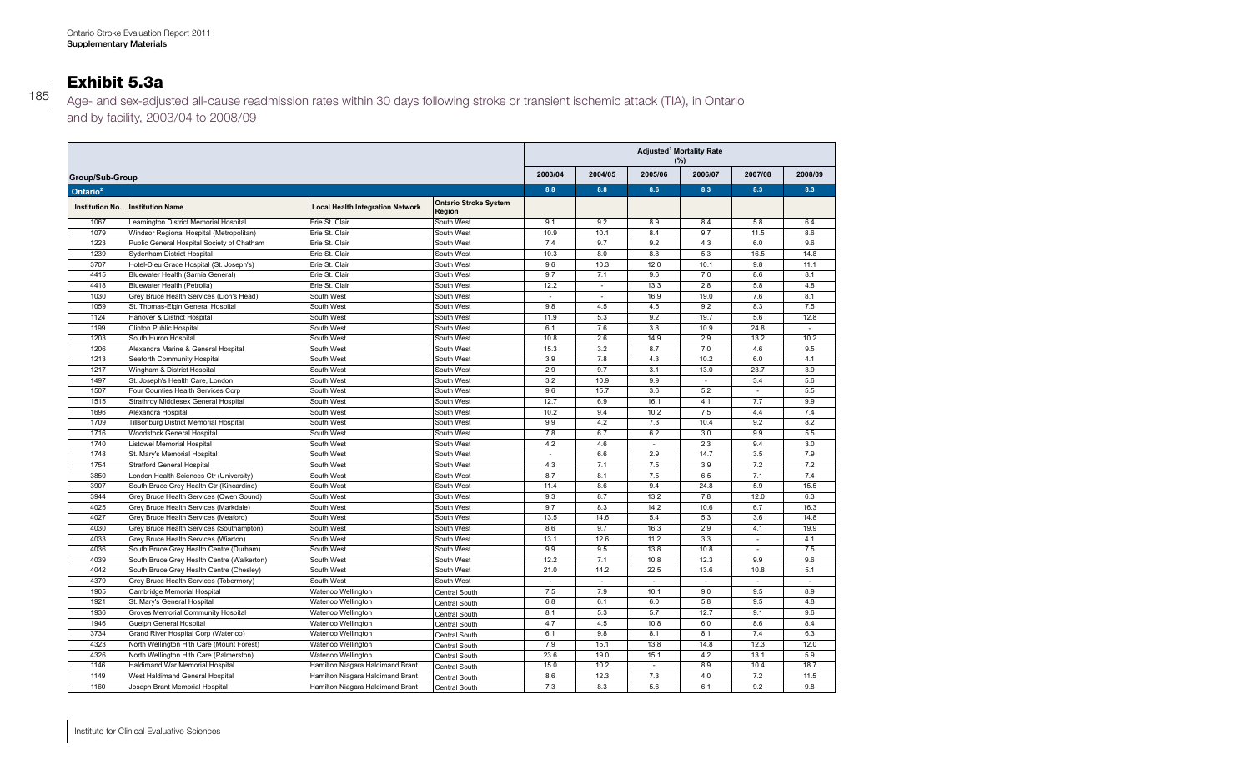## Exhibit 5.3a

Age- and sex-adjusted all-cause readmission rates within 30 days following stroke or transient ischemic attack (TIA), in Ontario and by facility, 2003/04 to 2008/09

|                        |                                            |                                         |                                        | Adjusted <sup>1</sup> Mortality Rate<br>(%) |                             |                          |                          |                  |                  |
|------------------------|--------------------------------------------|-----------------------------------------|----------------------------------------|---------------------------------------------|-----------------------------|--------------------------|--------------------------|------------------|------------------|
| Group/Sub-Group        |                                            |                                         |                                        | 2003/04                                     | 2004/05                     | 2005/06                  | 2006/07                  | 2007/08          | 2008/09          |
| Ontario <sup>2</sup>   |                                            |                                         |                                        | 8.8                                         | 8.8                         | 8.6                      | 8.3                      | 8.3              | 8.3              |
| <b>Institution No.</b> | <b>Institution Name</b>                    | <b>Local Health Integration Network</b> | <b>Ontario Stroke System</b><br>Region |                                             |                             |                          |                          |                  |                  |
| 1067                   | Leamington District Memorial Hospital      | Erie St. Clair                          | South West                             | 9.1                                         | 9.2                         | 8.9                      | 8.4                      | 5.8              | 6.4              |
| 1079                   | Windsor Regional Hospital (Metropolitan)   | Erie St. Clair                          | South West                             | 10.9                                        | 10.1                        | 8.4                      | 9.7                      | 11.5             | 8.6              |
| 1223                   | Public General Hospital Society of Chatham | Erie St. Clair                          | South West                             | 7.4                                         | 9.7                         | 9.2                      | 4.3                      | 6.0              | 9.6              |
| 1239                   | Sydenham District Hospital                 | Erie St. Clair                          | South West                             | 10.3                                        | 8.0                         | 8.8                      | 5.3                      | 16.5             | 14.8             |
| 3707                   | Hotel-Dieu Grace Hospital (St. Joseph's)   | Erie St. Clair                          | South West                             | 9.6                                         | 10.3                        | 12.0                     | 10.1                     | 9.8              | 11.1             |
| 4415                   | Bluewater Health (Sarnia General)          | Erie St. Clair                          | South West                             | 9.7                                         | 7.1                         | 9.6                      | 7.0                      | 8.6              | 8.1              |
| 4418                   | Bluewater Health (Petrolia)                | Erie St. Clair                          | South West                             | 12.2                                        | $\mathcal{L}_{\mathcal{A}}$ | 13.3                     | 2.8                      | 5.8              | 4.8              |
| 1030                   | Grey Bruce Health Services (Lion's Head)   | South West                              | South West                             | ٠                                           | $\sim$                      | 16.9                     | 19.0                     | 7.6              | 8.1              |
| 1059                   | St. Thomas-Elgin General Hospital          | South West                              | South West                             | 9.8                                         | 4.5                         | 4.5                      | 9.2                      | 8.3              | 7.5              |
| 1124                   | Hanover & District Hospital                | South West                              | South West                             | 11.9                                        | 5.3                         | 9.2                      | 19.7                     | 5.6              | 12.8             |
| 1199                   | <b>Clinton Public Hospital</b>             | South West                              | South West                             | 6.1                                         | 7.6                         | 3.8                      | 10.9                     | 24.8             |                  |
| 1203                   | South Huron Hospital                       | South West                              | South West                             | 10.8                                        | 2.6                         | 14.9                     | 2.9                      | 13.2             | 10.2             |
| 1206                   | Alexandra Marine & General Hospital        | South West                              | South West                             | 15.3                                        | 3.2                         | 8.7                      | 7.0                      | 4.6              | 9.5              |
| 1213                   | Seaforth Community Hospital                | South West                              | South West                             | 3.9                                         | 7.8                         | 4.3                      | 10.2                     | 6.0              | 4.1              |
| 1217                   | Wingham & District Hospital                | South West                              | South West                             | 2.9                                         | 9.7                         | 3.1                      | 13.0                     | 23.7             | $\overline{3.9}$ |
| 1497                   | St. Joseph's Health Care, London           | South West                              | South West                             | 3.2                                         | 10.9                        | 9.9                      | $\overline{\phantom{a}}$ | 3.4              | 5.6              |
| 1507                   | Four Counties Health Services Corp         | South West                              | South West                             | 9.6                                         | 15.7                        | $\overline{3.6}$         | 5.2                      |                  | 5.5              |
| 1515                   | Strathroy Middlesex General Hospital       | South West                              | South West                             | 12.7                                        | 6.9                         | 16.1                     | 4.1                      | 7.7              | 9.9              |
| 1696                   | Alexandra Hospital                         | South West                              | South West                             | 10.2                                        | 9.4                         | 10.2                     | 7.5                      | 4.4              | 7.4              |
| 1709                   | Tillsonburg District Memorial Hospital     | South West                              | South West                             | 9.9                                         | 4.2                         | 7.3                      | 10.4                     | 9.2              | 8.2              |
| 1716                   | Woodstock General Hospital                 | South West                              | South West                             | 7.8                                         | 6.7                         | 6.2                      | 3.0                      | 9.9              | 5.5              |
| 1740                   | Listowel Memorial Hospital                 | South West                              | South West                             | 4.2                                         | 4.6                         | $\overline{\phantom{a}}$ | 2.3                      | 9.4              | 3.0              |
| 1748                   | St. Mary's Memorial Hospital               | South West                              | South West                             | $\overline{\phantom{a}}$                    | 6.6                         | 2.9                      | 14.7                     | 3.5              | 7.9              |
| 1754                   | <b>Stratford General Hospital</b>          | South West                              | South West                             | 4.3                                         | 7.1                         | 7.5                      | 3.9                      | 7.2              | 7.2              |
| 3850                   | London Health Sciences Ctr (University)    | South West                              | South West                             | 8.7                                         | 8.1                         | 7.5                      | 6.5                      | 7.1              | 7.4              |
| 3907                   | South Bruce Grey Health Ctr (Kincardine)   | South West                              | South West                             | 11.4                                        | 8.6                         | 9.4                      | 24.8                     | 5.9              | 15.5             |
| 3944                   | Grey Bruce Health Services (Owen Sound)    | South West                              | South West                             | 9.3                                         | 8.7                         | 13.2                     | 7.8                      | 12.0             | 6.3              |
| 4025                   | Grey Bruce Health Services (Markdale)      | South West                              | South West                             | 9.7                                         | 8.3                         | 14.2                     | 10.6                     | 6.7              | 16.3             |
| 4027                   | Grey Bruce Health Services (Meaford)       | South West                              | South West                             | 13.5                                        | 14.6                        | 5.4                      | 5.3                      | $\overline{3.6}$ | 14.8             |
| 4030                   | Grey Bruce Health Services (Southampton)   | South West                              | South West                             | 8.6                                         | 9.7                         | 16.3                     | 2.9                      | 4.1              | 19.9             |
| 4033                   | Grey Bruce Health Services (Wiarton)       | South West                              | South West                             | 13.1                                        | 12.6                        | 11.2                     | 3.3                      | $\sim$           | 4.1              |
| 4036                   | South Bruce Grey Health Centre (Durham)    | South West                              | South West                             | 9.9                                         | 9.5                         | 13.8                     | 10.8                     | $\sim$           | 7.5              |
| 4039                   | South Bruce Grey Health Centre (Walkerton) | South West                              | South West                             | 12.2                                        | 7.1                         | 10.8                     | 12.3                     | 9.9              | 9.6              |
| 4042                   | South Bruce Grey Health Centre (Chesley)   | South West                              | South West                             | 21.0                                        | 14.2                        | 22.5                     | 13.6                     | 10.8             | 5.1              |
| 4379                   | Grey Bruce Health Services (Tobermory)     | South West                              | South West                             |                                             |                             |                          |                          |                  |                  |
| 1905                   | Cambridge Memorial Hospital                | Waterloo Wellington                     | Central South                          | 7.5                                         | 7.9                         | 10.1                     | 9.0                      | 9.5              | 8.9              |
| 1921                   | St. Mary's General Hospital                | Waterloo Wellington                     | Central South                          | 6.8                                         | 6.1                         | 6.0                      | 5.8                      | 9.5              | 4.8              |
| 1936                   | Groves Memorial Community Hospital         | Waterloo Wellington                     | Central South                          | 8.1                                         | 5.3                         | 5.7                      | 12.7                     | 9.1              | 9.6              |
| 1946                   | Guelph General Hospital                    | Waterloo Wellington                     | Central South                          | 4.7                                         | 4.5                         | 10.8                     | 6.0                      | 8.6              | 8.4              |
| 3734                   | Grand River Hospital Corp (Waterloo)       | Waterloo Wellington                     | Central South                          | 6.1                                         | 9.8                         | 8.1                      | 8.1                      | 7.4              | 6.3              |
| 4323                   | North Wellington Hlth Care (Mount Forest)  | Waterloo Wellington                     | Central South                          | 7.9                                         | 15.1                        | 13.8                     | 14.8                     | 12.3             | 12.0             |
| 4326                   | North Wellington Hlth Care (Palmerston)    | Waterloo Wellington                     | Central South                          | 23.6                                        | 19.0                        | 15.1                     | 4.2                      | 13.1             | 5.9              |
| 1146                   | <b>Haldimand War Memorial Hospital</b>     | Hamilton Niagara Haldimand Brant        | Central South                          | 15.0                                        | 10.2                        |                          | 8.9                      | 10.4             | 18.7             |
| 1149                   | West Haldimand General Hospital            | Hamilton Niagara Haldimand Brant        | Central South                          | 8.6                                         | 12.3                        | 7.3                      | 4.0                      | 7.2              | 11.5             |
| 1160                   | Joseph Brant Memorial Hospital             | Hamilton Niagara Haldimand Brant        | Central South                          | 7.3                                         | 8.3                         | 5.6                      | 6.1                      | 9.2              | 9.8              |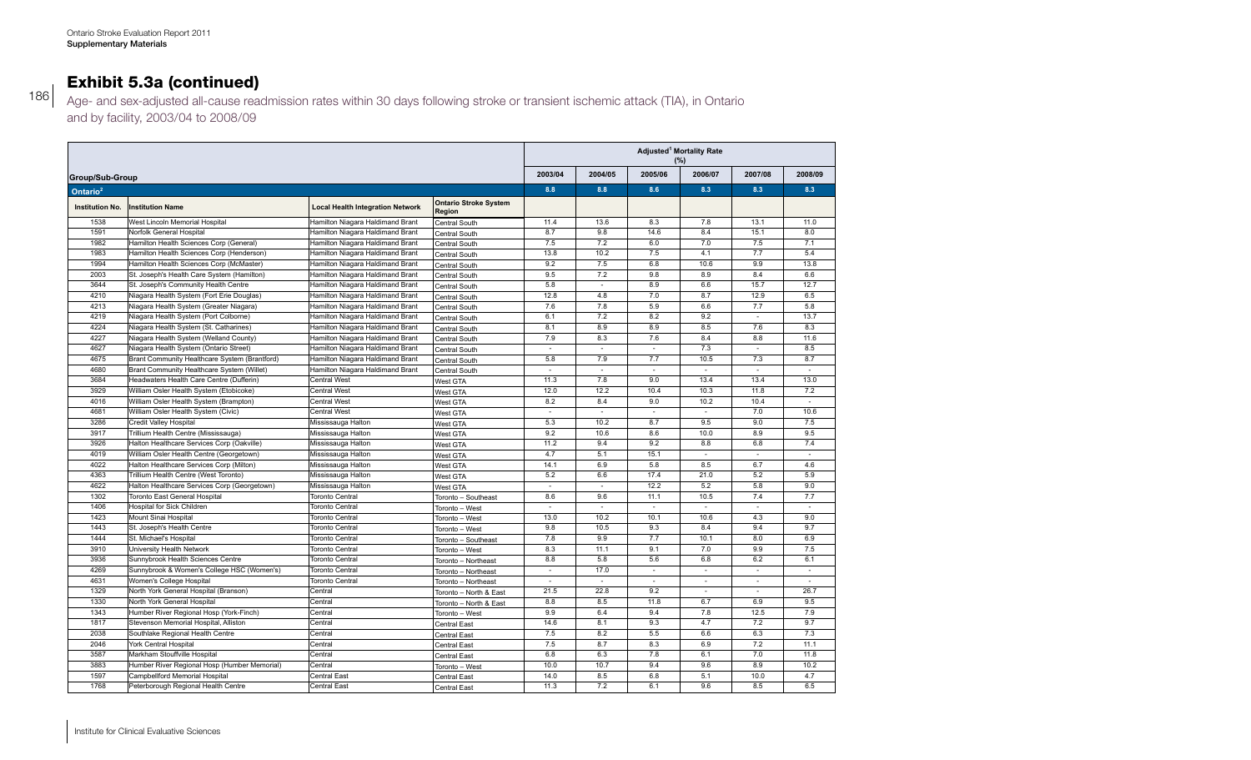#### Exhibit 5.3a (continued) 4036 South Bruce Grey Health Centre (Durham) South West South West 9.9 9.5 13.8 10.8 - 7.5 South Bruce Grey Health Centre (Walkerton) South West South West 12.2 7.1 10.8 12.3 9.9 9.6

|                                         | Ontario Stroke Evaluation Report 2011                                                                                            |                                                                      |                                            |                                 |                          |                                  |                                      |                                 |                                 |
|-----------------------------------------|----------------------------------------------------------------------------------------------------------------------------------|----------------------------------------------------------------------|--------------------------------------------|---------------------------------|--------------------------|----------------------------------|--------------------------------------|---------------------------------|---------------------------------|
| <b>Supplementary Materials</b>          |                                                                                                                                  |                                                                      |                                            |                                 |                          |                                  |                                      |                                 |                                 |
|                                         |                                                                                                                                  |                                                                      |                                            |                                 |                          |                                  |                                      |                                 |                                 |
|                                         | <b>Exhibit 5.3a (continued)</b>                                                                                                  |                                                                      |                                            |                                 |                          |                                  |                                      |                                 |                                 |
|                                         | Age- and sex-adjusted all-cause readmission rates within 30 days following stroke or transient ischemic attack (TIA), in Ontario |                                                                      |                                            |                                 |                          |                                  |                                      |                                 |                                 |
|                                         | and by facility, 2003/04 to 2008/09                                                                                              |                                                                      |                                            |                                 |                          |                                  |                                      |                                 |                                 |
|                                         |                                                                                                                                  |                                                                      |                                            |                                 |                          |                                  | Adjusted <sup>1</sup> Mortality Rate |                                 |                                 |
|                                         |                                                                                                                                  |                                                                      |                                            | 2003/04                         | 2004/05                  | 2005/06                          | $(\%)$<br>2006/07                    | 2007/08                         | 2008/09                         |
| Group/Sub-Group<br>Ontario <sup>2</sup> |                                                                                                                                  |                                                                      |                                            | 8.8                             | 8.8                      | 8.6                              | 8.3                                  | 8.3                             | 8.3                             |
| <b>Institution No.</b>                  | <b>Institution Name</b>                                                                                                          | <b>Local Health Integration Network</b>                              | <b>Ontario Stroke System</b>               |                                 |                          |                                  |                                      |                                 |                                 |
| 1538                                    | West Lincoln Memorial Hospital                                                                                                   | Hamilton Niagara Haldimand Brant                                     | Region<br>Central South                    | 11.4                            | 13.6                     | 8.3                              | 7.8                                  | 13.1                            | 11.0                            |
| 1591<br>1982                            | Norfolk General Hospital<br>Hamilton Health Sciences Corp (General)                                                              | Hamilton Niagara Haldimand Brant<br>Hamilton Niagara Haldimand Brant | Central South<br>Central South             | 8.7<br>7.5                      | 9.8<br>7.2               | 14.6<br>6.0                      | 8.4<br>7.0                           | 15.1<br>7.5                     | 8.0<br>7.1                      |
| 1983                                    | Hamilton Health Sciences Corp (Henderson)                                                                                        | Hamilton Niagara Haldimand Brant                                     | Central South                              | 13.8                            | 10.2                     | 7.5                              | 4.1                                  | 7.7                             | 5.4                             |
| 1994<br>2003                            | Hamilton Health Sciences Corp (McMaster)<br>St. Joseph's Health Care System (Hamilton)                                           | Hamilton Niagara Haldimand Brant<br>Hamilton Niagara Haldimand Brant | Central South                              | 9.2<br>9.5                      | 7.5<br>7.2               | 6.8<br>9.8                       | 10.6<br>8.9                          | 9.9<br>8.4                      | 13.8<br>6.6                     |
| 3644                                    | St. Joseph's Community Health Centre                                                                                             | Hamilton Niagara Haldimand Brant                                     | Central South<br>Central South             | 5.8                             | $\overline{\phantom{a}}$ | 8.9                              | 6.6                                  | 15.7                            | 12.7                            |
| 4210                                    | Niagara Health System (Fort Erie Douglas)                                                                                        | Hamilton Niagara Haldimand Brant                                     | Central South                              | 12.8                            | 4.8                      | 7.0                              | 8.7                                  | 12.9                            | 6.5                             |
| 4213<br>4219                            | Niagara Health System (Greater Niagara)<br>Niagara Health System (Port Colborne)                                                 | Hamilton Niagara Haldimand Brant<br>Hamilton Niagara Haldimand Brant | Central South<br>Central South             | 7.6<br>6.1                      | 7.8<br>7.2               | 5.9<br>8.2                       | 6.6<br>9.2                           | 7.7                             | 5.8<br>13.7                     |
| 4224                                    | Niagara Health System (St. Catharines)                                                                                           | Hamilton Niagara Haldimand Brant                                     | Central South                              | 8.1                             | 8.9                      | 8.9                              | 8.5                                  | 7.6                             | 8.3                             |
| 4227                                    | Niagara Health System (Welland County)                                                                                           | Hamilton Niagara Haldimand Brant                                     | Central South                              | 7.9                             | 8.3                      | 7.6                              | 8.4                                  | 8.8                             |                                 |
|                                         |                                                                                                                                  |                                                                      |                                            |                                 |                          |                                  |                                      |                                 | 11.6                            |
| 4627<br>4675                            | Niagara Health System (Ontario Street)<br>Brant Community Healthcare System (Brantford)                                          | Hamilton Niagara Haldimand Brant<br>Hamilton Niagara Haldimand Brant | Central South                              | $\overline{\phantom{a}}$<br>5.8 | $\sim$<br>7.9            | $\overline{\phantom{a}}$<br>7.7  | 7.3<br>10.5                          | $\overline{\phantom{a}}$<br>7.3 | 8.5<br>8.7                      |
| 4680                                    | Brant Community Healthcare System (Willet)                                                                                       | Hamilton Niagara Haldimand Brant                                     | Central South<br>Central South             | $\sim$                          | $\sim$                   |                                  | $\overline{\phantom{a}}$             | $\overline{\phantom{a}}$        | $\overline{\phantom{a}}$        |
| 3684                                    | Headwaters Health Care Centre (Dufferin)                                                                                         | <b>Central West</b>                                                  | West GTA                                   | 11.3                            | 7.8                      | 9.0                              | 13.4                                 | 13.4                            | 13.0                            |
| 3929<br>4016                            | William Osler Health System (Etobicoke)<br>William Osler Health System (Brampton)                                                | Central West<br><b>Central West</b>                                  | West GTA<br>West GTA                       | 12.0<br>8.2                     | 12.2<br>8.4              | 10.4<br>9.0                      | 10.3<br>10.2                         | 11.8<br>10.4                    | 7.2<br>$\sim$                   |
| 4681                                    | William Osler Health System (Civic)                                                                                              | <b>Central West</b>                                                  | West GTA                                   | $\sim$                          | $\overline{\phantom{a}}$ | ÷                                | $\overline{\phantom{a}}$             | 7.0                             | 10.6                            |
| 3286<br>3917                            | Credit Valley Hospital<br>Trillium Health Centre (Mississauga)                                                                   | Mississauga Halton<br>Mississauga Halton                             | West GTA                                   | 5.3<br>9.2                      | 10.2<br>10.6             | 8.7<br>8.6                       | 9.5<br>10.0                          | 9.0<br>8.9                      | 7.5<br>9.5                      |
| 3926                                    | Halton Healthcare Services Corp (Oakville)                                                                                       | Mississauga Halton                                                   | West GTA<br>West GTA                       | 11.2                            | 9.4                      | 9.2                              | 8.8                                  | 6.8                             | 7.4                             |
| 4019                                    | William Osler Health Centre (Georgetown)                                                                                         | Mississauga Halton                                                   | West GTA                                   | 4.7                             | 5.1                      | 15.1                             |                                      |                                 | ä,                              |
| 4022<br>4363                            | Halton Healthcare Services Corp (Milton)<br>Trillium Health Centre (West Toronto)                                                | Mississauga Halton<br>Mississauga Halton                             | West GTA<br>West GTA                       | 14.1<br>5.2                     | 6.9<br>6.6               | 5.8<br>17.4                      | 8.5<br>21.0                          | 6.7<br>5.2                      | 4.6<br>5.9                      |
| 4622                                    | Halton Healthcare Services Corp (Georgetown)                                                                                     | Mississauga Halton                                                   | West GTA                                   | $\overline{\phantom{a}}$        | $\overline{\phantom{a}}$ | 12.2                             | 5.2                                  | 5.8                             | 9.0                             |
| 1302<br>1406                            | Toronto East General Hospital<br>Hospital for Sick Children                                                                      | <b>Toronto Central</b><br>Toronto Central                            | Toronto - Southeast<br>Toronto - West      | 8.6<br>$\overline{\phantom{a}}$ | 9.6                      | 11.1<br>$\overline{\phantom{a}}$ | 10.5                                 | 7.4<br>$\overline{\phantom{a}}$ | 7.7<br>$\overline{\phantom{a}}$ |
| 1423                                    | Mount Sinai Hospital                                                                                                             | Toronto Central                                                      | Toronto - West                             | 13.0                            | 10.2                     | 10.1                             | 10.6                                 | 4.3                             | 9.0                             |
| 1443<br>1444                            | St. Joseph's Health Centre<br>St. Michael's Hospital                                                                             | Toronto Central<br>Toronto Central                                   | Toronto - West                             | 9.8<br>7.8                      | 10.5<br>9.9              | 9.3<br>7.7                       | 8.4<br>10.1                          | 9.4<br>8.0                      | 9.7<br>6.9                      |
| 3910                                    | University Health Network                                                                                                        | Toronto Central                                                      | Toronto - Southeast<br>Toronto - West      | 8.3                             | 11.1                     | 9.1                              | 7.0                                  | 9.9                             | 7.5                             |
| 3936<br>4269                            | Sunnybrook Health Sciences Centre                                                                                                | Toronto Central                                                      | Toronto - Northeast                        | 8.8<br>$\overline{\phantom{a}}$ | 5.8<br>17.0              | 5.6                              | 6.8<br>$\overline{\phantom{a}}$      | 6.2<br>$\overline{\phantom{a}}$ | 6.1<br>$\overline{\phantom{a}}$ |
| 4631                                    | Sunnybrook & Women's College HSC (Women's)<br>Women's College Hospital                                                           | Toronto Central<br>Toronto Central                                   | Toronto - Northeast<br>Toronto - Northeast | $\overline{\phantom{a}}$        |                          |                                  |                                      |                                 | ä,                              |
| 1329                                    | North York General Hospital (Branson)                                                                                            | Central                                                              | Toronto - North & East                     | 21.5                            | 22.8                     | 9.2                              | $\sim$                               | $\sim$                          | 26.7                            |
| 1330<br>1343                            | North York General Hospital<br>Humber River Regional Hosp (York-Finch)                                                           | Central<br>Central                                                   | Toronto - North & East                     | 8.8<br>9.9                      | 8.5<br>6.4               | 11.8<br>9.4                      | 6.7<br>7.8                           | 6.9<br>12.5                     | 9.5<br>7.9                      |
| 1817                                    | Stevenson Memorial Hospital, Alliston                                                                                            | Central                                                              | Toronto - West<br><b>Central East</b>      | 14.6                            | 8.1                      | 9.3                              | 4.7                                  | 7.2                             | 9.7                             |
| 2038                                    | Southlake Regional Health Centre                                                                                                 | Central                                                              | Central East                               | 7.5                             | 8.2                      | 5.5                              | 6.6                                  | 6.3                             | 7.3                             |
| 2046<br>3587                            | York Central Hospital<br>Markham Stouffville Hospital                                                                            | Central<br>Central                                                   | Central East<br><b>Central East</b>        | 7.5<br>6.8                      | 8.7<br>6.3               | 8.3<br>7.8                       | 6.9<br>6.1                           | 7.2<br>7.0                      | 11.1<br>11.8                    |
| 3883<br>1597                            | Humber River Regional Hosp (Humber Memorial)<br>Campbellford Memorial Hospital                                                   | Central<br>Central East                                              | Toronto - West<br><b>Central East</b>      | 10.0<br>14.0                    | 10.7<br>8.5              | 9.4<br>6.8                       | 9.6<br>5.1                           | 8.9<br>10.0                     | 10.2<br>4.7                     |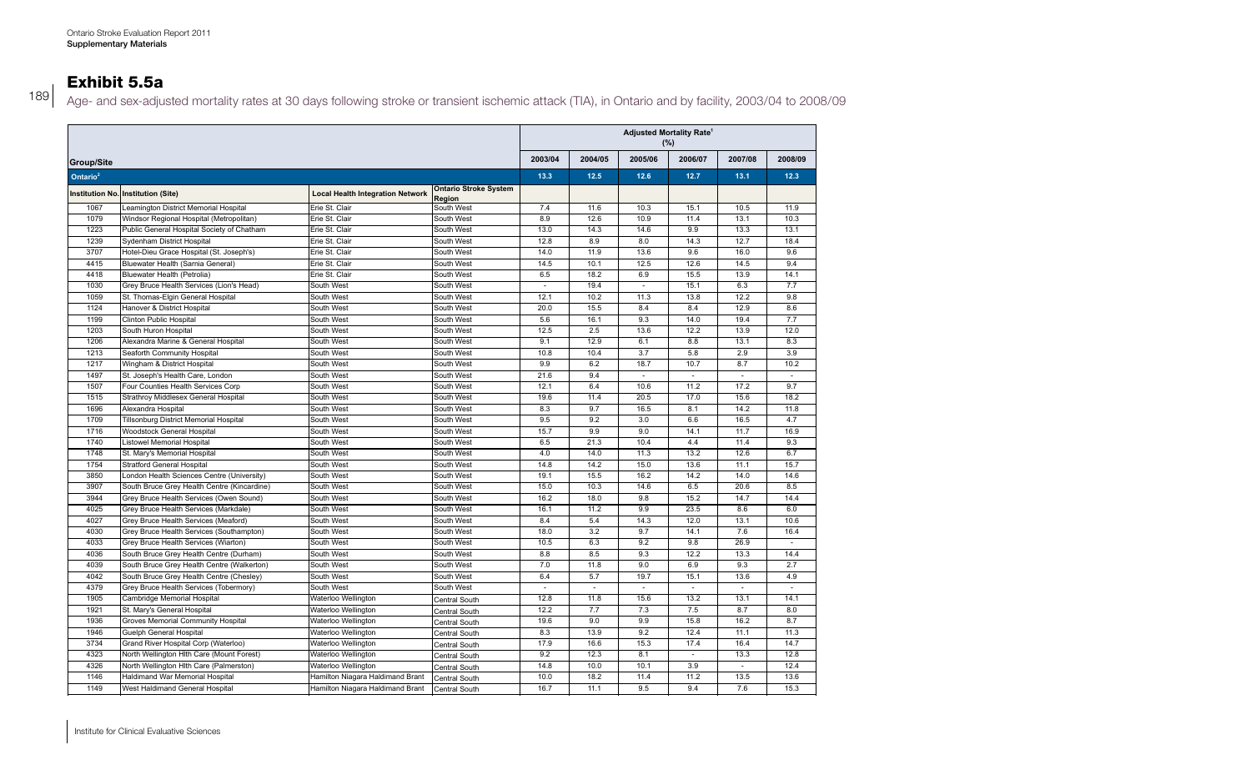### Exhibit 5.5a

 Age- and sex-adjusted mortality rates at 30 days following stroke or transient ischemic attack (TIA), in Ontario and by facility, 2003/04 to 2008/09

|                      |                                             |                                         |                                        | <b>Adjusted Mortality Rate<sup>1</sup></b><br>$(\%)$ |         |                          |         |         |         |
|----------------------|---------------------------------------------|-----------------------------------------|----------------------------------------|------------------------------------------------------|---------|--------------------------|---------|---------|---------|
| Group/Site           |                                             |                                         |                                        | 2003/04                                              | 2004/05 | 2005/06                  | 2006/07 | 2007/08 | 2008/09 |
| Ontario <sup>2</sup> |                                             |                                         |                                        | 13.3                                                 | 12.5    | 12.6                     | 12.7    | 13.1    | 12.3    |
|                      | Institution No. Institution (Site)          | <b>Local Health Integration Network</b> | <b>Ontario Stroke System</b><br>Region |                                                      |         |                          |         |         |         |
| 1067                 | Leamington District Memorial Hospital       | Erie St. Clair                          | South West                             | 7.4                                                  | 11.6    | 10.3                     | 15.1    | 10.5    | 11.9    |
| 1079                 | Windsor Regional Hospital (Metropolitan)    | Erie St. Clair                          | South West                             | 8.9                                                  | 12.6    | 10.9                     | 11.4    | 13.1    | 10.3    |
| 1223                 | Public General Hospital Society of Chatham  | Erie St. Clair                          | South West                             | 13.0                                                 | 14.3    | 14.6                     | 9.9     | 13.3    | 13.1    |
| 1239                 | Sydenham District Hospital                  | Erie St. Clair                          | South West                             | 12.8                                                 | 8.9     | 8.0                      | 14.3    | 12.7    | 18.4    |
| 3707                 | Hotel-Dieu Grace Hospital (St. Joseph's)    | Erie St. Clair                          | South West                             | 14.0                                                 | 11.9    | 13.6                     | 9.6     | 16.0    | 9.6     |
| 4415                 | Bluewater Health (Sarnia General)           | Erie St. Clair                          | South West                             | 14.5                                                 | 10.1    | 12.5                     | 12.6    | 14.5    | 9.4     |
| 4418                 | Bluewater Health (Petrolia)                 | Erie St. Clair                          | South West                             | 6.5                                                  | 18.2    | 6.9                      | 15.5    | 13.9    | 14.1    |
| 1030                 | Grey Bruce Health Services (Lion's Head)    | South West                              | South West                             | $\overline{\phantom{a}}$                             | 19.4    | $\overline{\phantom{a}}$ | 15.1    | 6.3     | 7.7     |
| 1059                 | St. Thomas-Elgin General Hospital           | South West                              | South West                             | 12.1                                                 | 10.2    | 11.3                     | 13.8    | 12.2    | 9.8     |
| 1124                 | Hanover & District Hospital                 | South West                              | South West                             | 20.0                                                 | 15.5    | 8.4                      | 8.4     | 12.9    | 8.6     |
| 1199                 | Clinton Public Hospital                     | South West                              | South West                             | 5.6                                                  | 16.1    | 9.3                      | 14.0    | 19.4    | 7.7     |
| 1203                 | South Huron Hospital                        | South West                              | South West                             | 12.5                                                 | 2.5     | 13.6                     | 12.2    | 13.9    | 12.0    |
| 1206                 | Alexandra Marine & General Hospital         | South West                              | South West                             | 9.1                                                  | 12.9    | 6.1                      | 8.8     | 13.1    | 8.3     |
| 1213                 | Seaforth Community Hospital                 | South West                              | South West                             | 10.8                                                 | 10.4    | 3.7                      | 5.8     | 2.9     | 3.9     |
| 1217                 | Wingham & District Hospital                 | South West                              | South West                             | 9.9                                                  | 6.2     | 18.7                     | 10.7    | 8.7     | 10.2    |
| 1497                 | St. Joseph's Health Care, London            | South West                              | South West                             | 21.6                                                 | 9.4     |                          | $\sim$  | ÷,      | $\sim$  |
| 1507                 | Four Counties Health Services Corp          | South West                              | South West                             | 12.1                                                 | 6.4     | 10.6                     | 11.2    | 17.2    | 9.7     |
| 1515                 | Strathroy Middlesex General Hospital        | South West                              | South West                             | 19.6                                                 | 11.4    | 20.5                     | 17.0    | 15.6    | 18.2    |
| 1696                 | Alexandra Hospital                          | South West                              | South West                             | 8.3                                                  | 9.7     | 16.5                     | 8.1     | 14.2    | 11.8    |
| 1709                 | Tillsonburg District Memorial Hospital      | South West                              | South West                             | 9.5                                                  | 9.2     | 3.0                      | 6.6     | 16.5    | 4.7     |
| 1716                 | Woodstock General Hospital                  | South West                              | South West                             | 15.7                                                 | 9.9     | 9.0                      | 14.1    | 11.7    | 16.9    |
| 1740                 | Listowel Memorial Hospital                  | South West                              | South West                             | 6.5                                                  | 21.3    | 10.4                     | 4.4     | 11.4    | 9.3     |
| 1748                 | St. Mary's Memorial Hospital                | South West                              | South West                             | 4.0                                                  | 14.0    | 11.3                     | 13.2    | 12.6    | 6.7     |
| 1754                 | <b>Stratford General Hospital</b>           | South West                              | South West                             | 14.8                                                 | 14.2    | 15.0                     | 13.6    | 11.1    | 15.7    |
| 3850                 | London Health Sciences Centre (University)  | South West                              | South West                             | 19.1                                                 | 15.5    | 16.2                     | 14.2    | 14.0    | 14.6    |
| 3907                 | South Bruce Grey Health Centre (Kincardine) | South West                              | South West                             | 15.0                                                 | 10.3    | 14.6                     | 6.5     | 20.6    | 8.5     |
| 3944                 | Grey Bruce Health Services (Owen Sound)     | South West                              | South West                             | 16.2                                                 | 18.0    | 9.8                      | 15.2    | 14.7    | 14.4    |
| 4025                 | Grey Bruce Health Services (Markdale)       | South West                              | South West                             | 16.1                                                 | 11.2    | 9.9                      | 23.5    | 8.6     | 6.0     |
| 4027                 | Grey Bruce Health Services (Meaford)        | South West                              | South West                             | 8.4                                                  | 5.4     | 14.3                     | 12.0    | 13.1    | 10.6    |
| 4030                 | Grey Bruce Health Services (Southampton)    | South West                              | South West                             | 18.0                                                 | 3.2     | 9.7                      | 14.1    | 7.6     | 16.4    |
| 4033                 | Grey Bruce Health Services (Wiarton)        | South West                              | South West                             | 10.5                                                 | 6.3     | 9.2                      | 9.8     | 26.9    | $\sim$  |
| 4036                 | South Bruce Grey Health Centre (Durham)     | South West                              | South West                             | 8.8                                                  | 8.5     | 9.3                      | 12.2    | 13.3    | 14.4    |
| 4039                 | South Bruce Grey Health Centre (Walkerton)  | South West                              | South West                             | 7.0                                                  | 11.8    | 9.0                      | 6.9     | 9.3     | 2.7     |
| 4042                 | South Bruce Grey Health Centre (Chesley)    | South West                              | South West                             | 6.4                                                  | 5.7     | 19.7                     | 15.1    | 13.6    | 4.9     |
| 4379                 | Grey Bruce Health Services (Tobermory)      | South West                              | South West                             | ÷.                                                   | ×.      | ÷.                       | $\sim$  | ÷.      | $\sim$  |
| 1905                 | Cambridge Memorial Hospital                 | Waterloo Wellington                     | Central South                          | 12.8                                                 | 11.8    | 15.6                     | 13.2    | 13.1    | 14.1    |
| 1921                 | St. Mary's General Hospital                 | Waterloo Wellington                     | Central South                          | 12.2                                                 | 7.7     | 7.3                      | 7.5     | 8.7     | 8.0     |
| 1936                 | Groves Memorial Community Hospital          | Waterloo Wellington                     | Central South                          | 19.6                                                 | 9.0     | 9.9                      | 15.8    | 16.2    | 8.7     |
| 1946                 | Guelph General Hospital                     | Waterloo Wellington                     | Central South                          | 8.3                                                  | 13.9    | 9.2                      | 12.4    | 11.1    | 11.3    |
| 3734                 | Grand River Hospital Corp (Waterloo)        | Waterloo Wellington                     | Central South                          | 17.9                                                 | 16.6    | 15.3                     | 17.4    | 16.4    | 14.7    |
| 4323                 | North Wellington Hlth Care (Mount Forest)   | Waterloo Wellington                     | Central South                          | 9.2                                                  | 12.3    | 8.1                      |         | 13.3    | 12.8    |
| 4326                 | North Wellington Hlth Care (Palmerston)     | Waterloo Wellington                     | Central South                          | 14.8                                                 | 10.0    | 10.1                     | 3.9     | $\sim$  | 12.4    |
| 1146                 | Haldimand War Memorial Hospital             | Hamilton Niagara Haldimand Brant        | Central South                          | 10.0                                                 | 18.2    | 11.4                     | 11.2    | 13.5    | 13.6    |
| 1149                 | West Haldimand General Hospital             | Hamilton Niagara Haldimand Brant        | Central South                          | 16.7                                                 | 11.1    | 9.5                      | 9.4     | 7.6     | 15.3    |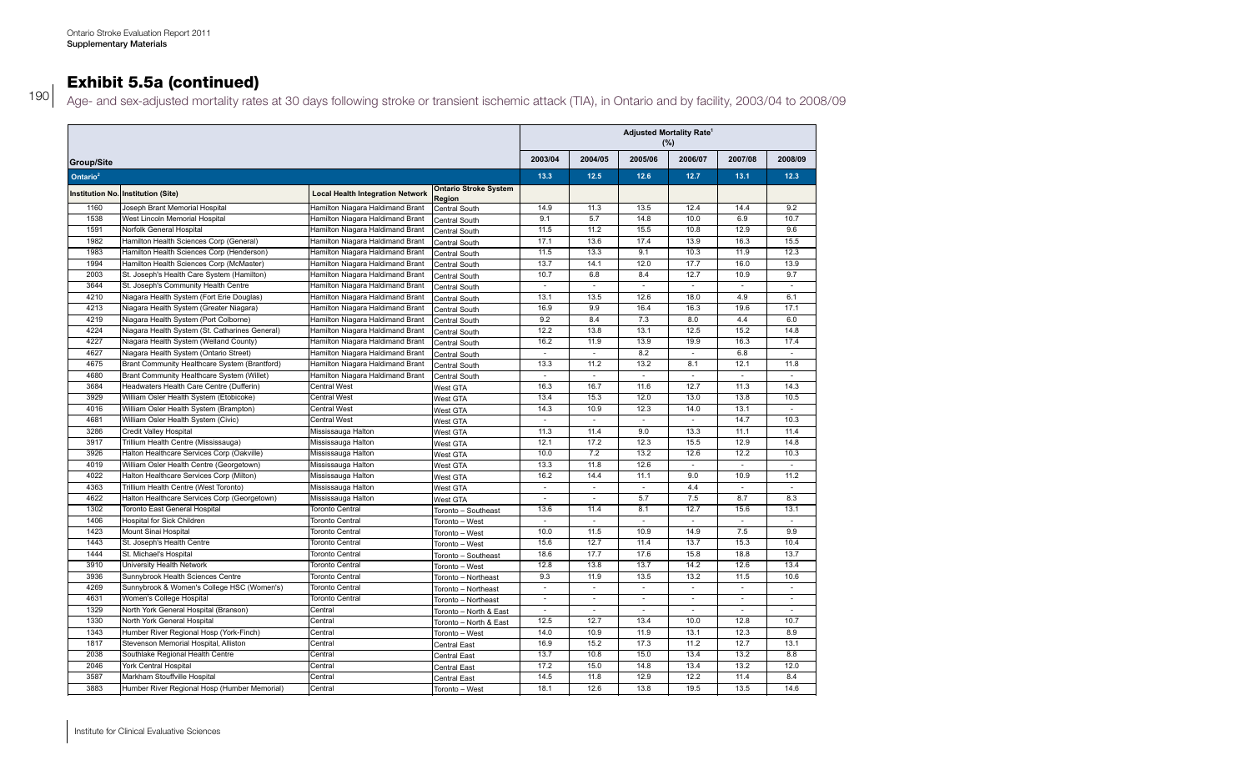### Exhibit 5.5a (continued) South Bruce Grey Health Centre (Walkerton) South West South West 7.0 11.8 9.0 9.0 9.0 9.3 2.7 9.9 9.0 9.3 2.7 9.9 9.0 11.8 9.9 9.9 9.0 11.8 9.9 9.9 9.3 2.7 9.9 9.3 2.7 9.9 9.9 9.9 9.3 2.7 9.9 9.9 9 4042 South Bruce Grey Health Centre (Chesley) South West South West 6.4 5.7 19.7 15.1 13.6 4.9

190 Age- and sex-adjusted mortality rates at 30 days following stroke or transient ischemic attack (TIA), in Ontario and by facility, 2003/04 to 2008/09 and box dependent mortality ratio at 60 days relieving etients of transform forming attack (They, in Oritains and by hability, 2000) of to

|                      |                                                |                                         |                                        | <b>Adjusted Mortality Rate<sup>1</sup></b><br>(%) |                             |                             |                             |         |                             |
|----------------------|------------------------------------------------|-----------------------------------------|----------------------------------------|---------------------------------------------------|-----------------------------|-----------------------------|-----------------------------|---------|-----------------------------|
| <b>Group/Site</b>    |                                                |                                         |                                        | 2003/04                                           | 2004/05                     | 2005/06                     | 2006/07                     | 2007/08 | 2008/09                     |
| Ontario <sup>2</sup> |                                                |                                         |                                        | 13.3                                              | 12.5                        | 12.6                        | 12.7                        | 13.1    | 12.3                        |
|                      | Institution No. Institution (Site)             | <b>Local Health Integration Network</b> | <b>Ontario Stroke System</b><br>Region |                                                   |                             |                             |                             |         |                             |
| 1160                 | Joseph Brant Memorial Hospital                 | Hamilton Niagara Haldimand Brant        | Central South                          | 14.9                                              | 11.3                        | 13.5                        | 12.4                        | 14.4    | 9.2                         |
| 1538                 | West Lincoln Memorial Hospital                 | Hamilton Niagara Haldimand Brant        | Central South                          | 9.1                                               | 5.7                         | 14.8                        | 10.0                        | 6.9     | 10.7                        |
| 1591                 | Norfolk General Hospital                       | Hamilton Niagara Haldimand Brant        | Central South                          | 11.5                                              | 11.2                        | 15.5                        | 10.8                        | 12.9    | 9.6                         |
| 1982                 | Hamilton Health Sciences Corp (General)        | Hamilton Niagara Haldimand Brant        | Central South                          | 17.1                                              | 13.6                        | 17.4                        | 13.9                        | 16.3    | 15.5                        |
| 1983                 | Hamilton Health Sciences Corp (Henderson)      | Hamilton Niagara Haldimand Brant        | Central South                          | 11.5                                              | 13.3                        | 9.1                         | 10.3                        | 11.9    | 12.3                        |
| 1994                 | Hamilton Health Sciences Corp (McMaster)       | Hamilton Niagara Haldimand Brant        | Central South                          | 13.7                                              | 14.1                        | 12.0                        | 17.7                        | 16.0    | 13.9                        |
| 2003                 | St. Joseph's Health Care System (Hamilton)     | Hamilton Niagara Haldimand Brant        | Central South                          | 10.7                                              | 6.8                         | 8.4                         | 12.7                        | 10.9    | 9.7                         |
| 3644                 | St. Joseph's Community Health Centre           | Hamilton Niagara Haldimand Brant        | Central South                          |                                                   |                             |                             |                             |         | $\sim$                      |
| 4210                 | Niagara Health System (Fort Erie Douglas)      | Hamilton Niagara Haldimand Brant        | Central South                          | 13.1                                              | 13.5                        | 12.6                        | 18.0                        | 4.9     | 6.1                         |
| 4213                 | Niagara Health System (Greater Niagara)        | Hamilton Niagara Haldimand Brant        | Central South                          | 16.9                                              | 9.9                         | 16.4                        | 16.3                        | 19.6    | 17.1                        |
| 4219                 | Niagara Health System (Port Colborne)          | Hamilton Niagara Haldimand Brant        | Central South                          | 9.2                                               | 8.4                         | 7.3                         | 8.0                         | 4.4     | 6.0                         |
| 4224                 | Niagara Health System (St. Catharines General) | Hamilton Niagara Haldimand Brant        | Central South                          | 12.2                                              | 13.8                        | 13.1                        | 12.5                        | 15.2    | 14.8                        |
| 4227                 | Niagara Health System (Welland County)         | Hamilton Niagara Haldimand Brant        | Central South                          | 16.2                                              | 11.9                        | 13.9                        | 19.9                        | 16.3    | 17.4                        |
| 4627                 | Niagara Health System (Ontario Street)         | Hamilton Niagara Haldimand Brant        | Central South                          | $\mathcal{L}$                                     | $\mathcal{L}$               | 8.2                         | $\mathcal{L}$               | 6.8     | $\sim$                      |
| 4675                 | Brant Community Healthcare System (Brantford)  | Hamilton Niagara Haldimand Brant        | Central South                          | 13.3                                              | 11.2                        | 13.2                        | 8.1                         | 12.1    | 11.8                        |
| 4680                 | Brant Community Healthcare System (Willet)     | Hamilton Niagara Haldimand Brant        | Central South                          | ÷,                                                | $\overline{\phantom{a}}$    | $\sim$                      | $\sim$                      | ÷,      | $\mathcal{L}_{\mathcal{A}}$ |
| 3684                 | Headwaters Health Care Centre (Dufferin)       | <b>Central West</b>                     | West GTA                               | 16.3                                              | 16.7                        | 11.6                        | 12.7                        | 11.3    | 14.3                        |
| 3929                 | William Osler Health System (Etobicoke)        | <b>Central West</b>                     | West GTA                               | 13.4                                              | 15.3                        | 12.0                        | 13.0                        | 13.8    | 10.5                        |
| 4016                 | William Osler Health System (Brampton)         | <b>Central West</b>                     | West GTA                               | 14.3                                              | 10.9                        | 12.3                        | 14.0                        | 13.1    | $\sim$                      |
| 4681                 | William Osler Health System (Civic)            | <b>Central West</b>                     | West GTA                               |                                                   |                             |                             |                             | 14.7    | 10.3                        |
| 3286                 | Credit Valley Hospital                         | Mississauga Halton                      |                                        | 11.3                                              | 11.4                        | 9.0                         | 13.3                        | 11.1    | 11.4                        |
| 3917                 | Trillium Health Centre (Mississauga)           | Mississauga Halton                      | West GTA                               | 12.1                                              | 17.2                        | 12.3                        | 15.5                        | 12.9    | 14.8                        |
| 3926                 | Halton Healthcare Services Corp (Oakville)     | Mississauga Halton                      | West GTA                               | 10.0                                              | 7.2                         | 13.2                        | 12.6                        | 12.2    | 10.3                        |
| 4019                 | William Osler Health Centre (Georgetown)       | Mississauga Halton                      | West GTA                               | 13.3                                              | 11.8                        | 12.6                        |                             |         | $\sim$                      |
| 4022                 | Halton Healthcare Services Corp (Milton)       | Mississauga Halton                      | West GTA                               | 16.2                                              | 14.4                        | 11.1                        | 9.0                         | 10.9    | 11.2                        |
| 4363                 | Trillium Health Centre (West Toronto)          | Mississauga Halton                      | West GTA                               | ÷,                                                | $\sim$                      | $\sim$                      | 4.4                         | $\sim$  | $\sim$                      |
| 4622                 |                                                |                                         | West GTA                               | $\sim$                                            | $\sim$                      | 5.7                         | 7.5                         | 8.7     | 8.3                         |
| 1302                 | Halton Healthcare Services Corp (Georgetown)   | Mississauga Halton                      | West GTA                               | 13.6                                              | 11.4                        | 8.1                         | 12.7                        | 15.6    | 13.1                        |
|                      | Toronto East General Hospital                  | <b>Toronto Central</b>                  | Toronto - Southeast                    |                                                   |                             |                             |                             |         |                             |
| 1406                 | Hospital for Sick Children                     | <b>Toronto Central</b>                  | Toronto - West                         |                                                   | $\overline{\phantom{a}}$    |                             |                             |         | $\sim$                      |
| 1423                 | Mount Sinai Hospital                           | <b>Toronto Central</b>                  | Toronto - West                         | 10.0                                              | 11.5                        | 10.9                        | 14.9                        | 7.5     | 9.9                         |
| 1443                 | St. Joseph's Health Centre                     | Toronto Central                         | Toronto - West                         | 15.6                                              | 12.7                        | 11.4                        | 13.7                        | 15.3    | 10.4                        |
| 1444                 | St. Michael's Hospital                         | <b>Toronto Central</b>                  | Toronto - Southeast                    | 18.6                                              | 17.7                        | 17.6                        | 15.8                        | 18.8    | 13.7                        |
| 3910                 | University Health Network                      | <b>Toronto Central</b>                  | Toronto - West                         | 12.8                                              | 13.8                        | 13.7                        | 14.2                        | 12.6    | 13.4                        |
| 3936                 | Sunnybrook Health Sciences Centre              | <b>Toronto Central</b>                  | Toronto - Northeast                    | 9.3                                               | 11.9                        | 13.5                        | 13.2                        | 11.5    | 10.6                        |
| 4269                 | Sunnybrook & Women's College HSC (Women's)     | <b>Toronto Central</b>                  | Toronto - Northeast                    | $\mathbb{Z}^2$                                    | $\mathcal{L}_{\mathcal{A}}$ | $\mathcal{L}_{\mathcal{A}}$ | $\mathcal{L}_{\mathcal{A}}$ | $\sim$  | $\sim$                      |
| 4631                 | Women's College Hospital                       | <b>Toronto Central</b>                  | Toronto - Northeast                    | ä,                                                |                             | ä,                          |                             |         |                             |
| 1329                 | North York General Hospital (Branson)          | Central                                 | Toronto - North & East                 | $\mathcal{L}_{\mathcal{A}}$                       | $\overline{\phantom{a}}$    | ÷,                          | $\sim$                      | ä,      | $\bar{a}$                   |
| 1330                 | North York General Hospital                    | Central                                 | Toronto - North & East                 | 12.5                                              | 12.7                        | 13.4                        | 10.0                        | 12.8    | 10.7                        |
| 1343                 | Humber River Regional Hosp (York-Finch)        | Central                                 | Toronto - West                         | 14.0                                              | 10.9                        | 11.9                        | 13.1                        | 12.3    | 8.9                         |
| 1817                 | Stevenson Memorial Hospital, Alliston          | Central                                 | <b>Central East</b>                    | 16.9                                              | 15.2                        | 17.3                        | 11.2                        | 12.7    | 13.1                        |
| 2038                 | Southlake Regional Health Centre               | Central                                 | <b>Central East</b>                    | 13.7                                              | 10.8                        | 15.0                        | 13.4                        | 13.2    | 8.8                         |
| 2046                 | York Central Hospital                          | Central                                 | <b>Central East</b>                    | 17.2                                              | 15.0                        | 14.8                        | 13.4                        | 13.2    | 12.0                        |
| 3587                 | Markham Stouffville Hospital                   | Central                                 | <b>Central East</b>                    | 14.5                                              | 11.8                        | 12.9                        | 12.2                        | 11.4    | 8.4                         |
| 3883                 | Humber River Regional Hosp (Humber Memorial)   | Central                                 | Toronto - West                         | 18.1                                              | 12.6                        | 13.8                        | 19.5                        | 13.5    | 14.6                        |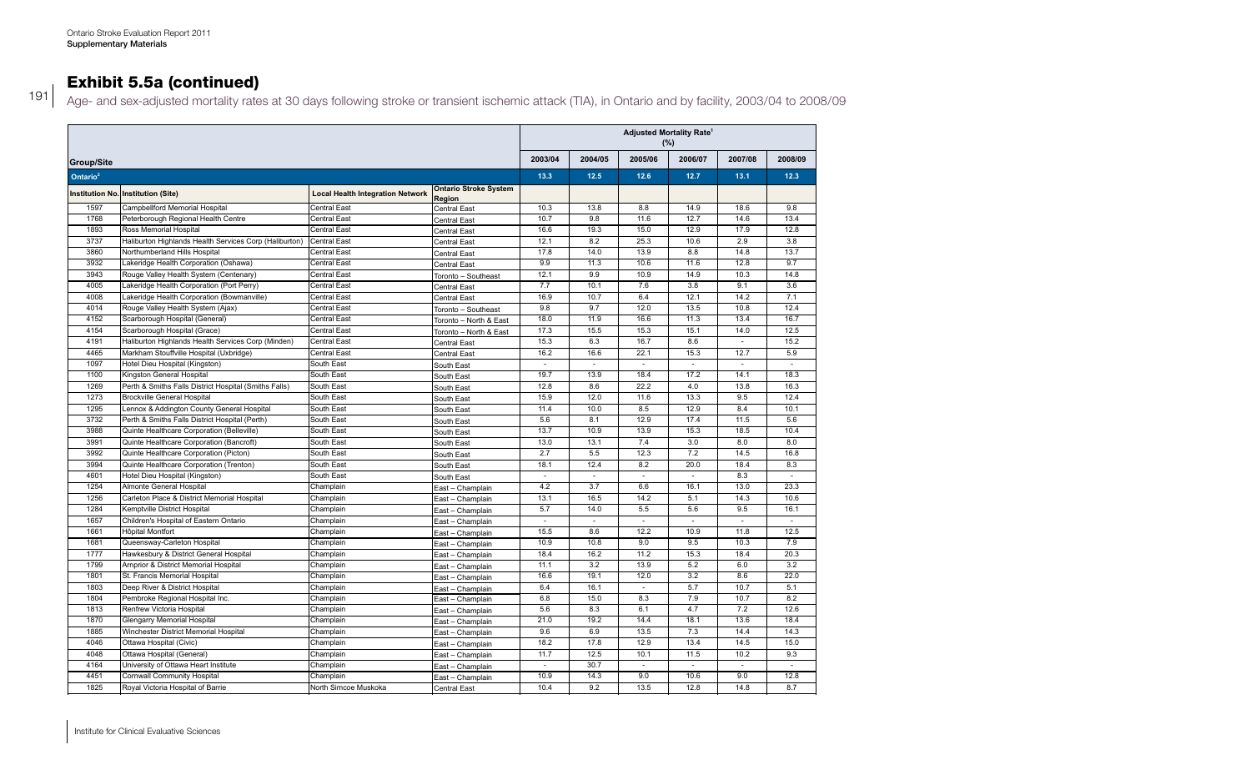### Exhibit 5.5a (continued) 3910 University Health Network Toronto Central Toronto – West 12.8 13.8 13.7 14.2 12.6 13.4 3936 Sunnybrook Health Sciences Centre Toronto Central Toronto – Northeast 9.3 11.9 13.5 13.2 11.5 10.6

191 Age- and sex-adjusted mortality rates at 30 days following stroke or transient ischemic attack (TIA), in Ontario and by facility, 2003/04 to 2008/09  $\sim$  and some disperse more my rates at so days renormly chord of manufacture diturns attain  $\mu$ , in critains and by radiity, 2000/07 te

|                      |                                                        |                                         |                                        | <b>Adjusted Mortality Rate<sup>1</sup></b><br>(%) |         |         |                          |                |              |
|----------------------|--------------------------------------------------------|-----------------------------------------|----------------------------------------|---------------------------------------------------|---------|---------|--------------------------|----------------|--------------|
| Group/Site           |                                                        |                                         |                                        | 2003/04                                           | 2004/05 | 2005/06 | 2006/07                  | 2007/08        | 2008/09      |
| Ontario <sup>2</sup> |                                                        |                                         |                                        | 13.3                                              | 12.5    | 12.6    | 12.7                     | 13.1           | 12.3         |
|                      | Institution No. Institution (Site)                     | <b>Local Health Integration Network</b> | <b>Ontario Stroke System</b><br>Region |                                                   |         |         |                          |                |              |
| 1597                 | Campbellford Memorial Hospital                         | Central East                            | Central East                           | 10.3                                              | 13.8    | 8.8     | 14.9                     | 18.6           | 9.8          |
| 1768                 | Peterborough Regional Health Centre                    | Central East                            | <b>Central East</b>                    | 10.7                                              | 9.8     | 11.6    | 12.7                     | 14.6           | 13.4         |
| 1893                 | Ross Memorial Hospital                                 | <b>Central East</b>                     | <b>Central East</b>                    | 16.6                                              | 19.3    | 15.0    | 12.9                     | 17.9           | 12.8         |
| 3737                 | Haliburton Highlands Health Services Corp (Haliburton) | <b>Central East</b>                     | <b>Central East</b>                    | 12.1                                              | 8.2     | 25.3    | 10.6                     | 2.9            | 3.8          |
| 3860                 | Northumberland Hills Hospital                          | Central East                            | <b>Central East</b>                    | 17.8                                              | 14.0    | 13.9    | 8.8                      | 14.8           | 13.7         |
| 3932                 | Lakeridge Health Corporation (Oshawa)                  | Central East                            | <b>Central East</b>                    | 9.9                                               | 11.3    | 10.6    | 11.6                     | 12.8           | 9.7          |
| 3943                 | Rouge Valley Health System (Centenary)                 | Central East                            | Toronto - Southeast                    | 12.1                                              | 9.9     | 10.9    | 14.9                     | 10.3           | 14.8         |
| 4005                 | Lakeridge Health Corporation (Port Perry)              | <b>Central East</b>                     | <b>Central East</b>                    | 7.7                                               | 10.1    | 7.6     | 3.8                      | 9.1            | 3.6          |
| 4008                 | Lakeridge Health Corporation (Bowmanville)             | <b>Central East</b>                     | <b>Central East</b>                    | 16.9                                              | 10.7    | 6.4     | 12.1                     | 14.2           | 7.1          |
| 4014                 | Rouge Valley Health System (Ajax)                      | Central East                            | Toronto - Southeast                    | 9.8                                               | 9.7     | 12.0    | 13.5                     | 10.8           | 12.4         |
| 4152                 | Scarborough Hospital (General)                         | <b>Central East</b>                     | Toronto - North & East                 | 18.0                                              | 11.9    | 16.6    | 11.3                     | 13.4           | 16.7         |
| 4154                 | Scarborough Hospital (Grace)                           | <b>Central East</b>                     | Toronto - North & East                 | 17.3                                              | 15.5    | 15.3    | 15.1                     | 14.0           | 12.5         |
| 4191                 | Haliburton Highlands Health Services Corp (Minden)     | <b>Central East</b>                     | <b>Central East</b>                    | 15.3                                              | 6.3     | 16.7    | 8.6                      |                | 15.2         |
| 4465                 | Markham Stouffville Hospital (Uxbridge)                | Central East                            | Central East                           | 16.2                                              | 16.6    | 22.1    | 15.3                     | 12.7           | 5.9          |
| 1097                 | Hotel Dieu Hospital (Kingston)                         | South East                              | South East                             |                                                   |         |         | ÷.                       | $\overline{a}$ | $\mathbf{r}$ |
| 1100                 | Kingston General Hospital                              | South East                              | South East                             | 19.7                                              | 13.9    | 18.4    | 17.2                     | 14.1           | 18.3         |
| 1269                 | Perth & Smiths Falls District Hospital (Smiths Falls)  | South East                              | South East                             | 12.8                                              | 8.6     | 22.2    | 4.0                      | 13.8           | 16.3         |
| 1273                 | <b>Brockville General Hospital</b>                     | South East                              | South East                             | 15.9                                              | 12.0    | 11.6    | 13.3                     | 9.5            | 12.4         |
| 1295                 | Lennox & Addington County General Hospital             | South East                              | South East                             | 11.4                                              | 10.0    | 8.5     | 12.9                     | 8.4            | 10.1         |
| 3732                 | Perth & Smiths Falls District Hospital (Perth)         | South East                              | South East                             | 5.6                                               | 8.1     | 12.9    | 17.4                     | 11.5           | 5.6          |
| 3988                 | Quinte Healthcare Corporation (Belleville)             | South East                              | South East                             | 13.7                                              | 10.9    | 13.9    | 15.3                     | 18.5           | 10.4         |
| 3991                 | Quinte Healthcare Corporation (Bancroft)               | South East                              | South East                             | 13.0                                              | 13.1    | 7.4     | 3.0                      | 8.0            | 8.0          |
| 3992                 | Quinte Healthcare Corporation (Picton)                 | South East                              | South East                             | 2.7                                               | 5.5     | 12.3    | 7.2                      | 14.5           | 16.8         |
| 3994                 | Quinte Healthcare Corporation (Trenton)                | South East                              | South East                             | 18.1                                              | 12.4    | 8.2     | 20.0                     | 18.4           | 8.3          |
| 4601                 | Hotel Dieu Hospital (Kingston)                         | South East                              | South East                             |                                                   | ä,      |         | $\sim$                   | 8.3            | ÷,           |
| 1254                 | Almonte General Hospital                               | Champlain                               | East - Champlain                       | 4.2                                               | 3.7     | 6.6     | 16.1                     | 13.0           | 23.3         |
| 1256                 | Carleton Place & District Memorial Hospital            | Champlain                               | East - Champlain                       | 13.1                                              | 16.5    | 14.2    | 5.1                      | 14.3           | 10.6         |
| 1284                 | Kemptville District Hospital                           | Champlain                               | East - Champlain                       | 5.7                                               | 14.0    | 5.5     | 5.6                      | 9.5            | 16.1         |
| 1657                 | Children's Hospital of Eastern Ontario                 | Champlain                               | East - Champlain                       | ÷,                                                | $\sim$  | ÷.      | $\sim$                   | $\sim$         | ×.           |
| 1661                 | Hôpital Montfort                                       | Champlain                               | East - Champlain                       | 15.5                                              | 8.6     | 12.2    | 10.9                     | 11.8           | 12.5         |
| 1681                 | Queensway-Carleton Hospital                            | Champlain                               | East - Champlain                       | 10.9                                              | 10.8    | 9.0     | 9.5                      | 10.3           | 7.9          |
| 1777                 | Hawkesbury & District General Hospital                 | Champlain                               | East - Champlain                       | 18.4                                              | 16.2    | 11.2    | 15.3                     | 18.4           | 20.3         |
| 1799                 | Arnprior & District Memorial Hospital                  | Champlain                               | East - Champlain                       | 11.1                                              | 3.2     | 13.9    | 5.2                      | 6.0            | 3.2          |
| 1801                 | St. Francis Memorial Hospital                          | Champlain                               | East - Champlain                       | 16.6                                              | 19.1    | 12.0    | 3.2                      | 8.6            | 22.0         |
| 1803                 | Deep River & District Hospital                         | Champlain                               | East - Champlain                       | 6.4                                               | 16.1    | $\sim$  | 5.7                      | 10.7           | 5.1          |
| 1804                 | Pembroke Regional Hospital Inc.                        | Champlain                               | East - Champlain                       | 6.8                                               | 15.0    | 8.3     | 7.9                      | 10.7           | 8.2          |
| 1813                 | Renfrew Victoria Hospital                              | Champlain                               | East - Champlain                       | 5.6                                               | 8.3     | 6.1     | 4.7                      | 7.2            | 12.6         |
| 1870                 | <b>Glengarry Memorial Hospital</b>                     | Champlain                               | East - Champlain                       | 21.0                                              | 19.2    | 14.4    | 18.1                     | 13.6           | 18.4         |
| 1885                 | Winchester District Memorial Hospital                  | Champlain                               | East - Champlain                       | 9.6                                               | 6.9     | 13.5    | 7.3                      | 14.4           | 14.3         |
| 4046                 | Ottawa Hospital (Civic)                                | Champlain                               | East - Champlain                       | 18.2                                              | 17.8    | 12.9    | 13.4                     | 14.5           | 15.0         |
| 4048                 | Ottawa Hospital (General)                              | Champlain                               | East - Champlain                       | 11.7                                              | 12.5    | 10.1    | 11.5                     | 10.2           | 9.3          |
| 4164                 | University of Ottawa Heart Institute                   | Champlain                               | East - Champlain                       | ×.                                                | 30.7    | ÷.      | $\overline{\phantom{a}}$ | $\sim$         | $\omega$     |
| 4451                 | Cornwall Community Hospital                            | Champlain                               | East - Champlain                       | 10.9                                              | 14.3    | 9.0     | 10.6                     | 9.0            | 12.8         |
| 1825                 | Royal Victoria Hospital of Barrie                      | North Simcoe Muskoka                    | <b>Central East</b>                    | 10.4                                              | 9.2     | 13.5    | 12.8                     | 14.8           | 8.7          |